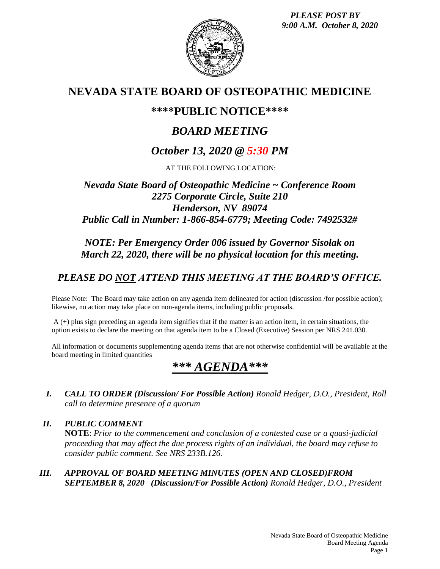*PLEASE POST BY 9:00 A.M. October 8, 2020*



## **NEVADA STATE BOARD OF OSTEOPATHIC MEDICINE**

## **\*\*\*\*PUBLIC NOTICE\*\*\*\***

# *BOARD MEETING*

## *October 13, 2020 @ 5:30 PM*

AT THE FOLLOWING LOCATION:

### *Nevada State Board of Osteopathic Medicine ~ Conference Room 2275 Corporate Circle, Suite 210 Henderson, NV 89074 Public Call in Number: 1-866-854-6779; Meeting Code: 7492532#*

### *NOTE: Per Emergency Order 006 issued by Governor Sisolak on March 22, 2020, there will be no physical location for this meeting.*

## *PLEASE DO NOT ATTEND THIS MEETING AT THE BOARD'S OFFICE.*

Please Note: The Board may take action on any agenda item delineated for action (discussion /for possible action); likewise, no action may take place on non-agenda items, including public proposals.

A (+) plus sign preceding an agenda item signifies that if the matter is an action item, in certain situations, the option exists to declare the meeting on that agenda item to be a Closed (Executive) Session per NRS 241.030.

All information or documents supplementing agenda items that are not otherwise confidential will be available at the board meeting in limited quantities

# *\*\*\* AGENDA\*\*\**

*I. CALL TO ORDER (Discussion/ For Possible Action) Ronald Hedger, D.O., President, Roll call to determine presence of a quorum*

*II. PUBLIC COMMENT* **NOTE**: *Prior to the commencement and conclusion of a contested case or a quasi-judicial proceeding that may affect the due process rights of an individual, the board may refuse to consider public comment. See NRS 233B.126.*

*III. APPROVAL OF BOARD MEETING MINUTES (OPEN AND CLOSED)FROM SEPTEMBER 8, 2020 (Discussion/For Possible Action) Ronald Hedger, D.O., President*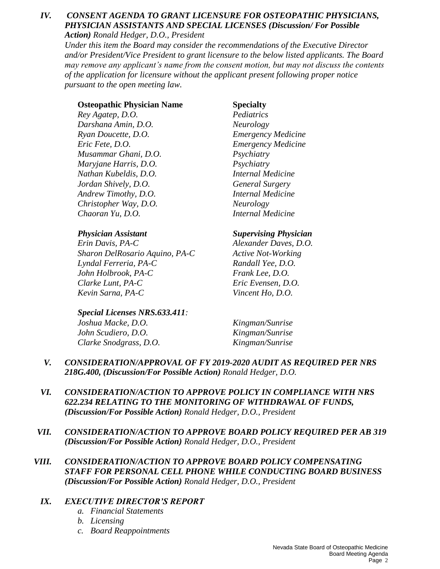## *IV. CONSENT AGENDA TO GRANT LICENSURE FOR OSTEOPATHIC PHYSICIANS, PHYSICIAN ASSISTANTS AND SPECIAL LICENSES (Discussion/ For Possible*

*Action) Ronald Hedger, D.O., President*

*Under this item the Board may consider the recommendations of the Executive Director and/or President/Vice President to grant licensure to the below listed applicants. The Board may remove any applicant's name from the consent motion, but may not discuss the contents of the application for licensure without the applicant present following proper notice pursuant to the open meeting law.*

#### **Osteopathic Physician Name Specialty**

*Rey Agatep, D.O. Pediatrics Darshana Amin, D.O. Neurology Ryan Doucette, D.O. Emergency Medicine Eric Fete, D.O. Emergency Medicine Musammar Ghani, D.O. Psychiatry Maryjane Harris, D.O. Psychiatry Nathan Kubeldis, D.O. Internal Medicine Jordan Shively, D.O. General Surgery Andrew Timothy, D.O. Internal Medicine Christopher Way, D.O. Neurology Chaoran Yu, D.O. Internal Medicine*

*Erin Davis, PA-C Alexander Daves, D.O. Sharon DelRosario Aquino, PA-C Active Not-Working Lyndal Ferreria, PA-C Randall Yee, D.O. John Holbrook, PA-C Frank Lee, D.O. Clarke Lunt, PA-C Eric Evensen, D.O. Kevin Sarna, PA-C Vincent Ho, D.O.*

#### *Special Licenses NRS.633.411:*

*Joshua Macke, D.O. Kingman/Sunrise John Scudiero, D.O. Kingman/Sunrise Clarke Snodgrass, D.O. Kingman/Sunrise*

#### *Physician Assistant Supervising Physician*

- *V. CONSIDERATION/APPROVAL OF FY 2019-2020 AUDIT AS REQUIRED PER NRS 218G.400, (Discussion/For Possible Action) Ronald Hedger, D.O.*
- *VI. CONSIDERATION/ACTION TO APPROVE POLICY IN COMPLIANCE WITH NRS 622.234 RELATING TO THE MONITORING OF WITHDRAWAL OF FUNDS, (Discussion/For Possible Action) Ronald Hedger, D.O., President*
- *VII. CONSIDERATION/ACTION TO APPROVE BOARD POLICY REQUIRED PER AB 319 (Discussion/For Possible Action) Ronald Hedger, D.O., President*
- *VIII. CONSIDERATION/ACTION TO APPROVE BOARD POLICY COMPENSATING STAFF FOR PERSONAL CELL PHONE WHILE CONDUCTING BOARD BUSINESS (Discussion/For Possible Action) Ronald Hedger, D.O., President*

#### *IX. EXECUTIVE DIRECTOR'S REPORT*

- *a. Financial Statements*
- *b. Licensing*
- *c. Board Reappointments*